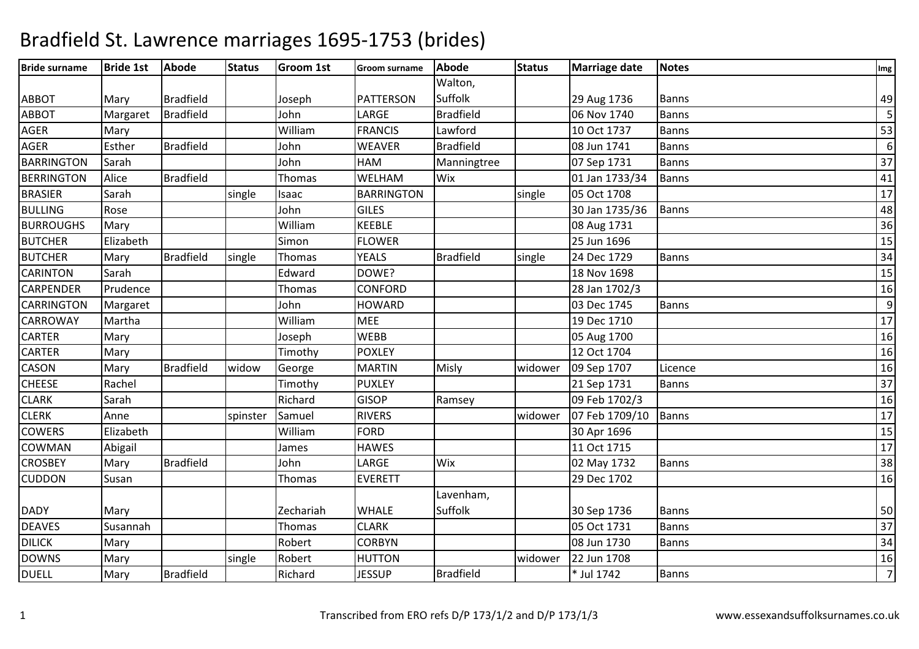| <b>Bride surname</b> | <b>Bride 1st</b> | <b>Abode</b>     | <b>Status</b> | <b>Groom 1st</b> | <b>Groom surname</b> | <b>Abode</b>     | <b>Status</b> | <b>Marriage date</b> | <b>Notes</b> | Img             |
|----------------------|------------------|------------------|---------------|------------------|----------------------|------------------|---------------|----------------------|--------------|-----------------|
|                      |                  |                  |               |                  |                      | Walton,          |               |                      |              |                 |
| <b>ABBOT</b>         | Mary             | <b>Bradfield</b> |               | Joseph           | <b>PATTERSON</b>     | Suffolk          |               | 29 Aug 1736          | <b>Banns</b> | 49              |
| <b>ABBOT</b>         | Margaret         | <b>Bradfield</b> |               | John             | LARGE                | <b>Bradfield</b> |               | 06 Nov 1740          | <b>Banns</b> | 5               |
| AGER                 | Mary             |                  |               | William          | <b>FRANCIS</b>       | Lawford          |               | 10 Oct 1737          | <b>Banns</b> | 53              |
| <b>AGER</b>          | Esther           | <b>Bradfield</b> |               | John             | <b>WEAVER</b>        | <b>Bradfield</b> |               | 08 Jun 1741          | <b>Banns</b> | 6               |
| <b>BARRINGTON</b>    | Sarah            |                  |               | John             | HAM                  | Manningtree      |               | 07 Sep 1731          | <b>Banns</b> | $\overline{37}$ |
| <b>BERRINGTON</b>    | Alice            | <b>Bradfield</b> |               | <b>Thomas</b>    | WELHAM               | Wix              |               | 01 Jan 1733/34       | <b>Banns</b> | 41              |
| <b>BRASIER</b>       | Sarah            |                  | single        | Isaac            | <b>BARRINGTON</b>    |                  | single        | 05 Oct 1708          |              | $\overline{17}$ |
| <b>BULLING</b>       | Rose             |                  |               | John             | <b>GILES</b>         |                  |               | 30 Jan 1735/36       | <b>Banns</b> | 48              |
| <b>BURROUGHS</b>     | Mary             |                  |               | William          | <b>KEEBLE</b>        |                  |               | 08 Aug 1731          |              | 36              |
| <b>BUTCHER</b>       | Elizabeth        |                  |               | Simon            | <b>FLOWER</b>        |                  |               | 25 Jun 1696          |              | 15              |
| <b>BUTCHER</b>       | Mary             | <b>Bradfield</b> | single        | Thomas           | <b>YEALS</b>         | <b>Bradfield</b> | single        | 24 Dec 1729          | <b>Banns</b> | $\overline{34}$ |
| <b>CARINTON</b>      | Sarah            |                  |               | Edward           | DOWE?                |                  |               | 18 Nov 1698          |              | 15              |
| <b>CARPENDER</b>     | Prudence         |                  |               | Thomas           | <b>CONFORD</b>       |                  |               | 28 Jan 1702/3        |              | 16              |
| <b>CARRINGTON</b>    | Margaret         |                  |               | John             | <b>HOWARD</b>        |                  |               | 03 Dec 1745          | <b>Banns</b> | 9               |
| <b>CARROWAY</b>      | Martha           |                  |               | William          | <b>MEE</b>           |                  |               | 19 Dec 1710          |              | 17              |
| <b>CARTER</b>        | Mary             |                  |               | Joseph           | <b>WEBB</b>          |                  |               | 05 Aug 1700          |              | 16              |
| <b>CARTER</b>        | Mary             |                  |               | Timothy          | <b>POXLEY</b>        |                  |               | 12 Oct 1704          |              | 16              |
| CASON                | Mary             | <b>Bradfield</b> | widow         | George           | <b>MARTIN</b>        | Misly            | widower       | 09 Sep 1707          | Licence      | 16              |
| <b>CHEESE</b>        | Rachel           |                  |               | Timothy          | <b>PUXLEY</b>        |                  |               | 21 Sep 1731          | Banns        | $\overline{37}$ |
| <b>CLARK</b>         | Sarah            |                  |               | Richard          | <b>GISOP</b>         | Ramsey           |               | 09 Feb 1702/3        |              | 16              |
| <b>CLERK</b>         | Anne             |                  | spinster      | Samuel           | <b>RIVERS</b>        |                  | widower       | 07 Feb 1709/10       | Banns        | 17              |
| <b>COWERS</b>        | Elizabeth        |                  |               | William          | <b>FORD</b>          |                  |               | 30 Apr 1696          |              | 15              |
| COWMAN               | Abigail          |                  |               | James            | <b>HAWES</b>         |                  |               | 11 Oct 1715          |              | 17              |
| <b>CROSBEY</b>       | Mary             | <b>Bradfield</b> |               | John             | LARGE                | Wix              |               | 02 May 1732          | <b>Banns</b> | $\overline{38}$ |
| <b>CUDDON</b>        | Susan            |                  |               | <b>Thomas</b>    | <b>EVERETT</b>       |                  |               | 29 Dec 1702          |              | 16              |
|                      |                  |                  |               |                  |                      | Lavenham,        |               |                      |              |                 |
| <b>DADY</b>          | Mary             |                  |               | Zechariah        | <b>WHALE</b>         | Suffolk          |               | 30 Sep 1736          | <b>Banns</b> | 50              |
| <b>DEAVES</b>        | Susannah         |                  |               | Thomas           | <b>CLARK</b>         |                  |               | 05 Oct 1731          | <b>Banns</b> | $\overline{37}$ |
| <b>DILICK</b>        | Mary             |                  |               | Robert           | <b>CORBYN</b>        |                  |               | 08 Jun 1730          | Banns        | $\overline{34}$ |
| <b>DOWNS</b>         | Mary             |                  | single        | Robert           | <b>HUTTON</b>        |                  | widower       | 22 Jun 1708          |              | 16              |
| <b>DUELL</b>         | Mary             | <b>Bradfield</b> |               | Richard          | <b>JESSUP</b>        | <b>Bradfield</b> |               | * Jul 1742           | Banns        | $\overline{7}$  |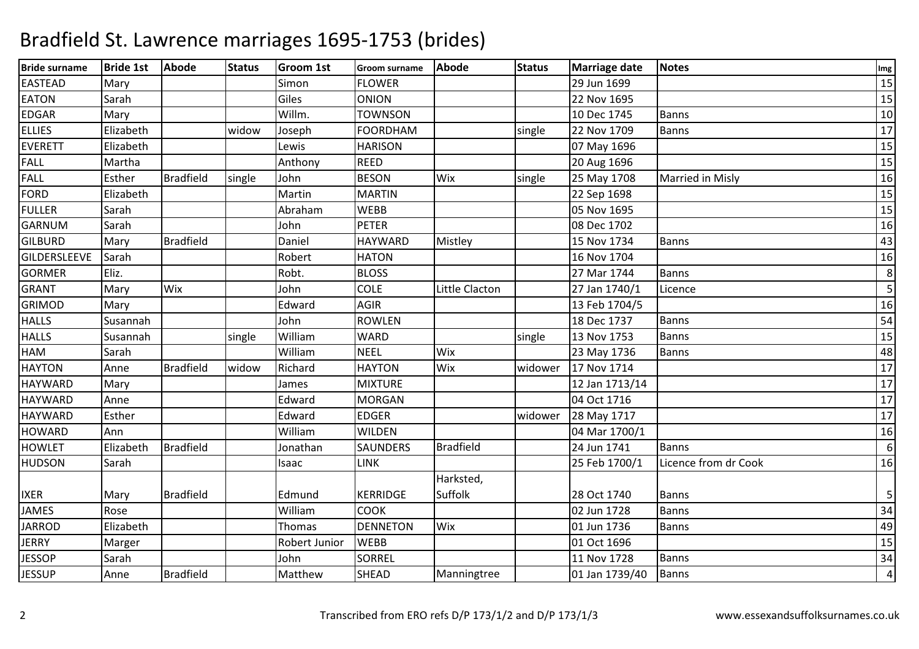| <b>Bride surname</b> | <b>Bride 1st</b> | Abode            | <b>Status</b> | <b>Groom 1st</b> | <b>Groom surname</b> | <b>Abode</b>     | <b>Status</b> | <b>Marriage date</b> | <b>Notes</b>         | Img              |
|----------------------|------------------|------------------|---------------|------------------|----------------------|------------------|---------------|----------------------|----------------------|------------------|
| <b>EASTEAD</b>       | Mary             |                  |               | Simon            | <b>FLOWER</b>        |                  |               | 29 Jun 1699          |                      | 15               |
| <b>EATON</b>         | Sarah            |                  |               | Giles            | <b>ONION</b>         |                  |               | 22 Nov 1695          |                      | 15               |
| <b>EDGAR</b>         | Mary             |                  |               | Willm.           | <b>TOWNSON</b>       |                  |               | 10 Dec 1745          | <b>Banns</b>         | 10               |
| <b>ELLIES</b>        | Elizabeth        |                  | widow         | Joseph           | <b>FOORDHAM</b>      |                  | single        | 22 Nov 1709          | Banns                | 17               |
| <b>EVERETT</b>       | Elizabeth        |                  |               | Lewis            | <b>HARISON</b>       |                  |               | 07 May 1696          |                      | 15               |
| <b>FALL</b>          | Martha           |                  |               | Anthony          | <b>REED</b>          |                  |               | 20 Aug 1696          |                      | 15               |
| <b>FALL</b>          | Esther           | <b>Bradfield</b> | single        | John             | <b>BESON</b>         | Wix              | single        | 25 May 1708          | Married in Misly     | 16               |
| FORD                 | Elizabeth        |                  |               | Martin           | <b>MARTIN</b>        |                  |               | 22 Sep 1698          |                      | 15               |
| <b>FULLER</b>        | Sarah            |                  |               | Abraham          | <b>WEBB</b>          |                  |               | 05 Nov 1695          |                      | 15               |
| <b>GARNUM</b>        | Sarah            |                  |               | John             | <b>PETER</b>         |                  |               | 08 Dec 1702          |                      | 16               |
| <b>GILBURD</b>       | Mary             | <b>Bradfield</b> |               | Daniel           | <b>HAYWARD</b>       | Mistley          |               | 15 Nov 1734          | Banns                | 43               |
| GILDERSLEEVE         | Sarah            |                  |               | Robert           | <b>HATON</b>         |                  |               | 16 Nov 1704          |                      | 16               |
| <b>GORMER</b>        | Eliz.            |                  |               | Robt.            | <b>BLOSS</b>         |                  |               | 27 Mar 1744          | <b>Banns</b>         | 8                |
| <b>GRANT</b>         | Mary             | Wix              |               | John             | <b>COLE</b>          | Little Clacton   |               | 27 Jan 1740/1        | Licence              | 5                |
| <b>GRIMOD</b>        | Mary             |                  |               | Edward           | <b>AGIR</b>          |                  |               | 13 Feb 1704/5        |                      | 16               |
| <b>HALLS</b>         | Susannah         |                  |               | John             | <b>ROWLEN</b>        |                  |               | 18 Dec 1737          | Banns                | 54               |
| <b>HALLS</b>         | Susannah         |                  | single        | William          | <b>WARD</b>          |                  | single        | 13 Nov 1753          | <b>Banns</b>         | $\overline{15}$  |
| HAM                  | Sarah            |                  |               | William          | <b>NEEL</b>          | Wix              |               | 23 May 1736          | <b>Banns</b>         | 48               |
| <b>HAYTON</b>        | Anne             | <b>Bradfield</b> | widow         | Richard          | <b>HAYTON</b>        | Wix              | widower       | 17 Nov 1714          |                      | 17               |
| <b>HAYWARD</b>       | Mary             |                  |               | James            | <b>MIXTURE</b>       |                  |               | 12 Jan 1713/14       |                      | 17               |
| <b>HAYWARD</b>       | Anne             |                  |               | Edward           | <b>MORGAN</b>        |                  |               | 04 Oct 1716          |                      | 17               |
| <b>HAYWARD</b>       | Esther           |                  |               | Edward           | <b>EDGER</b>         |                  | widower       | 28 May 1717          |                      | 17               |
| <b>HOWARD</b>        | Ann              |                  |               | William          | <b>WILDEN</b>        |                  |               | 04 Mar 1700/1        |                      | 16               |
| <b>HOWLET</b>        | Elizabeth        | Bradfield        |               | Jonathan         | SAUNDERS             | <b>Bradfield</b> |               | 24 Jun 1741          | <b>Banns</b>         | $\boldsymbol{6}$ |
| <b>HUDSON</b>        | Sarah            |                  |               | Isaac            | <b>LINK</b>          |                  |               | 25 Feb 1700/1        | Licence from dr Cook | 16               |
|                      |                  |                  |               |                  |                      | Harksted,        |               |                      |                      |                  |
| <b>IXER</b>          | Mary             | <b>Bradfield</b> |               | Edmund           | <b>KERRIDGE</b>      | Suffolk          |               | 28 Oct 1740          | <b>Banns</b>         | 5                |
| <b>JAMES</b>         | Rose             |                  |               | William          | <b>COOK</b>          |                  |               | 02 Jun 1728          | Banns                | 34               |
| <b>JARROD</b>        | Elizabeth        |                  |               | Thomas           | <b>DENNETON</b>      | Wix              |               | 01 Jun 1736          | <b>Banns</b>         | 49               |
| <b>JERRY</b>         | Marger           |                  |               | Robert Junior    | <b>WEBB</b>          |                  |               | 01 Oct 1696          |                      | 15               |
| <b>JESSOP</b>        | Sarah            |                  |               | John             | <b>SORREL</b>        |                  |               | 11 Nov 1728          | <b>Banns</b>         | 34               |
| <b>JESSUP</b>        | Anne             | <b>Bradfield</b> |               | Matthew          | <b>SHEAD</b>         | Manningtree      |               | 01 Jan 1739/40       | Banns                | $\overline{4}$   |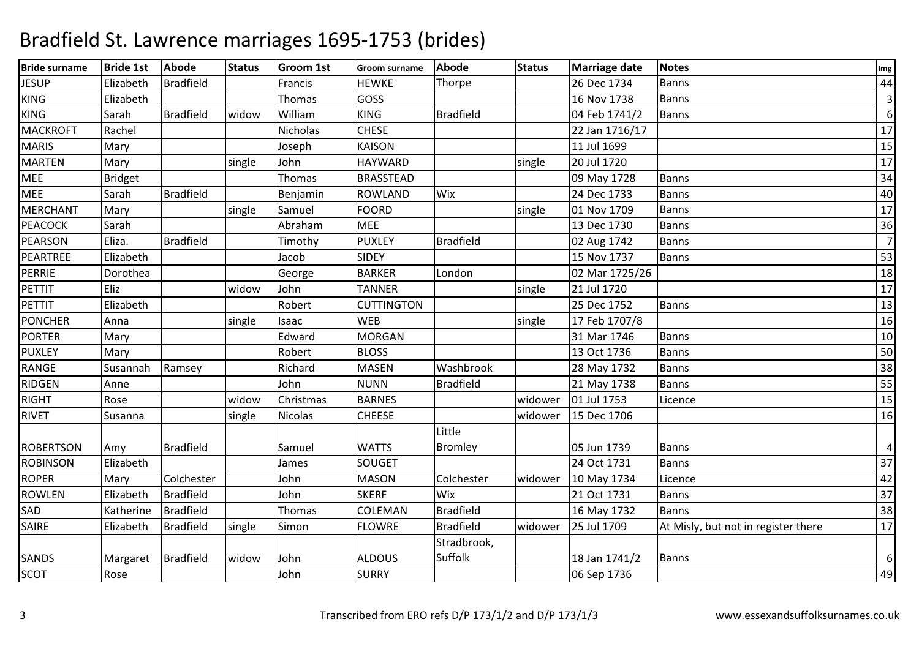| <b>Bride surname</b> | <b>Bride 1st</b>   | <b>Abode</b>     | <b>Status</b> | <b>Groom 1st</b> | <b>Groom surname</b> | <b>Abode</b>     | <b>Status</b> | <b>Marriage date</b> | <b>Notes</b>                        | Img             |
|----------------------|--------------------|------------------|---------------|------------------|----------------------|------------------|---------------|----------------------|-------------------------------------|-----------------|
| <b>JESUP</b>         | Elizabeth          | <b>Bradfield</b> |               | Francis          | <b>HEWKE</b>         | Thorpe           |               | 26 Dec 1734          | <b>Banns</b>                        | 44              |
| <b>KING</b>          | Elizabeth          |                  |               | Thomas           | GOSS                 |                  |               | 16 Nov 1738          | Banns                               | $\overline{3}$  |
| KING                 | Sarah              | <b>Bradfield</b> | widow         | William          | <b>KING</b>          | <b>Bradfield</b> |               | 04 Feb 1741/2        | <b>Banns</b>                        | 6               |
| <b>MACKROFT</b>      | Rachel             |                  |               | Nicholas         | <b>CHESE</b>         |                  |               | 22 Jan 1716/17       |                                     | 17              |
| <b>MARIS</b>         | Mary               |                  |               | Joseph           | <b>KAISON</b>        |                  |               | 11 Jul 1699          |                                     | 15              |
| <b>MARTEN</b>        | Mary               |                  | single        | John             | <b>HAYWARD</b>       |                  | single        | 20 Jul 1720          |                                     | $\overline{17}$ |
| <b>MEE</b>           | <b>Bridget</b>     |                  |               | Thomas           | <b>BRASSTEAD</b>     |                  |               | 09 May 1728          | <b>Banns</b>                        | 34              |
| <b>MEE</b>           | Sarah              | <b>Bradfield</b> |               | Benjamin         | <b>ROWLAND</b>       | Wix              |               | 24 Dec 1733          | <b>Banns</b>                        | 40              |
| <b>MERCHANT</b>      | Mary               |                  | single        | Samuel           | <b>FOORD</b>         |                  | single        | 01 Nov 1709          | <b>Banns</b>                        | 17              |
| PEACOCK              | Sarah              |                  |               | Abraham          | <b>MEE</b>           |                  |               | 13 Dec 1730          | <b>Banns</b>                        | 36              |
| <b>PEARSON</b>       | Eliza.             | <b>Bradfield</b> |               | Timothy          | <b>PUXLEY</b>        | <b>Bradfield</b> |               | 02 Aug 1742          | Banns                               | $\overline{7}$  |
| PEARTREE             | Elizabeth          |                  |               | Jacob            | <b>SIDEY</b>         |                  |               | 15 Nov 1737          | <b>Banns</b>                        | 53              |
| <b>PERRIE</b>        | Dorothea           |                  |               | George           | <b>BARKER</b>        | London           |               | 02 Mar 1725/26       |                                     | 18              |
| PETTIT               | Eliz               |                  | widow         | John             | <b>TANNER</b>        |                  | single        | 21 Jul 1720          |                                     | 17              |
| PETTIT               | Elizabeth          |                  |               | Robert           | <b>CUTTINGTON</b>    |                  |               | 25 Dec 1752          | <b>Banns</b>                        | 13              |
| <b>PONCHER</b>       | Anna               |                  | single        | Isaac            | <b>WEB</b>           |                  | single        | 17 Feb 1707/8        |                                     | 16              |
| <b>PORTER</b>        | Mary               |                  |               | Edward           | <b>MORGAN</b>        |                  |               | 31 Mar 1746          | <b>Banns</b>                        | 10              |
| <b>PUXLEY</b>        | Mary               |                  |               | Robert           | <b>BLOSS</b>         |                  |               | 13 Oct 1736          | Banns                               | 50              |
| RANGE                | Susannah           | Ramsey           |               | Richard          | <b>MASEN</b>         | Washbrook        |               | 28 May 1732          | Banns                               | 38              |
| RIDGEN               | Anne               |                  |               | John             | <b>NUNN</b>          | <b>Bradfield</b> |               | 21 May 1738          | <b>Banns</b>                        | 55              |
| <b>RIGHT</b>         | Rose               |                  | widow         | Christmas        | <b>BARNES</b>        |                  | widower       | 01 Jul 1753          | Licence                             | 15              |
| <b>RIVET</b>         | Susanna            |                  | single        | Nicolas          | <b>CHEESE</b>        |                  | widower       | 15 Dec 1706          |                                     | 16              |
|                      |                    |                  |               |                  |                      | Little           |               |                      |                                     |                 |
| <b>ROBERTSON</b>     | Amy                | <b>Bradfield</b> |               | Samuel           | <b>WATTS</b>         | <b>Bromley</b>   |               | 05 Jun 1739          | <b>Banns</b>                        | 4               |
| <b>ROBINSON</b>      | Elizabeth          |                  |               | James            | SOUGET               |                  |               | 24 Oct 1731          | <b>Banns</b>                        | 37              |
| <b>ROPER</b>         | Mary               | Colchester       |               | John             | <b>MASON</b>         | Colchester       | widower       | 10 May 1734          | Licence                             | 42              |
| <b>ROWLEN</b>        | Elizabeth          | <b>Bradfield</b> |               | John             | <b>SKERF</b>         | Wix              |               | 21 Oct 1731          | <b>Banns</b>                        | $\overline{37}$ |
| SAD                  | Katherine          | <b>Bradfield</b> |               | Thomas           | COLEMAN              | <b>Bradfield</b> |               | 16 May 1732          | <b>Banns</b>                        | 38              |
| <b>SAIRE</b>         | Elizabeth          | <b>Bradfield</b> | single        | Simon            | <b>FLOWRE</b>        | <b>Bradfield</b> | widower       | 25 Jul 1709          | At Misly, but not in register there | 17              |
|                      |                    |                  |               |                  |                      | Stradbrook,      |               |                      |                                     |                 |
| <b>SANDS</b>         | Margaret Bradfield |                  | widow         | John             | <b>ALDOUS</b>        | Suffolk          |               | 18 Jan 1741/2        | <b>Banns</b>                        | 6               |
| <b>SCOT</b>          | Rose               |                  |               | John             | <b>SURRY</b>         |                  |               | 06 Sep 1736          |                                     | 49              |